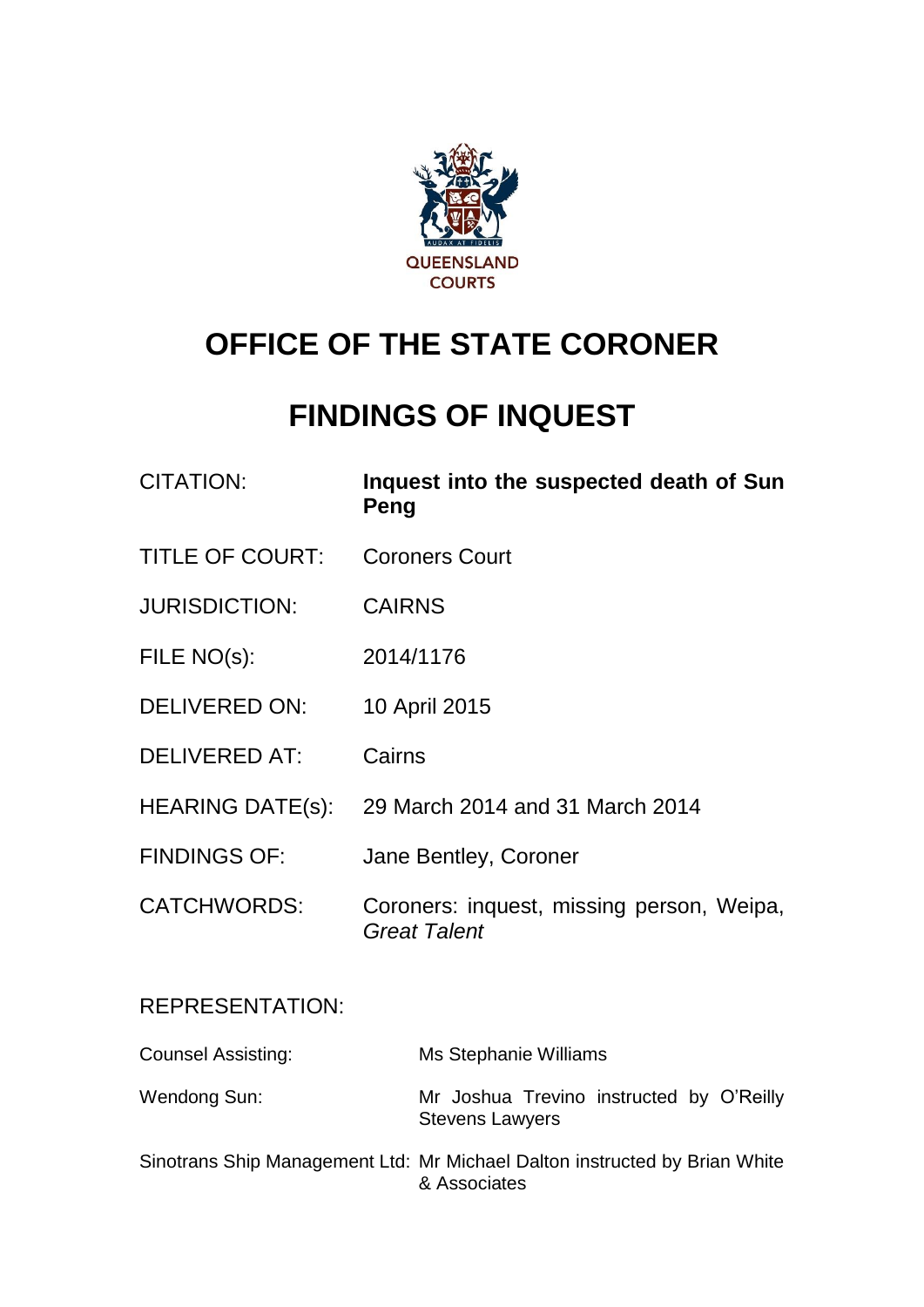

# **OFFICE OF THE STATE CORONER**

# **FINDINGS OF INQUEST**

| <b>CITATION:</b>          | Inquest into the suspected death of Sun<br>Peng                  |
|---------------------------|------------------------------------------------------------------|
| <b>TITLE OF COURT:</b>    | <b>Coroners Court</b>                                            |
| <b>JURISDICTION:</b>      | <b>CAIRNS</b>                                                    |
| FILE NO(s):               | 2014/1176                                                        |
| DELIVERED ON:             | 10 April 2015                                                    |
| <b>DELIVERED AT:</b>      | Cairns                                                           |
|                           | HEARING DATE(s): 29 March 2014 and 31 March 2014                 |
| <b>FINDINGS OF:</b>       | Jane Bentley, Coroner                                            |
| <b>CATCHWORDS:</b>        | Coroners: inquest, missing person, Weipa,<br><b>Great Talent</b> |
| <b>REPRESENTATION:</b>    |                                                                  |
| <b>Counsel Assisting:</b> | Ms Stephanie Williams                                            |

Wendong Sun: Mr Joshua Trevino instructed by O'Reilly Stevens Lawyers

Sinotrans Ship Management Ltd: Mr Michael Dalton instructed by Brian White & Associates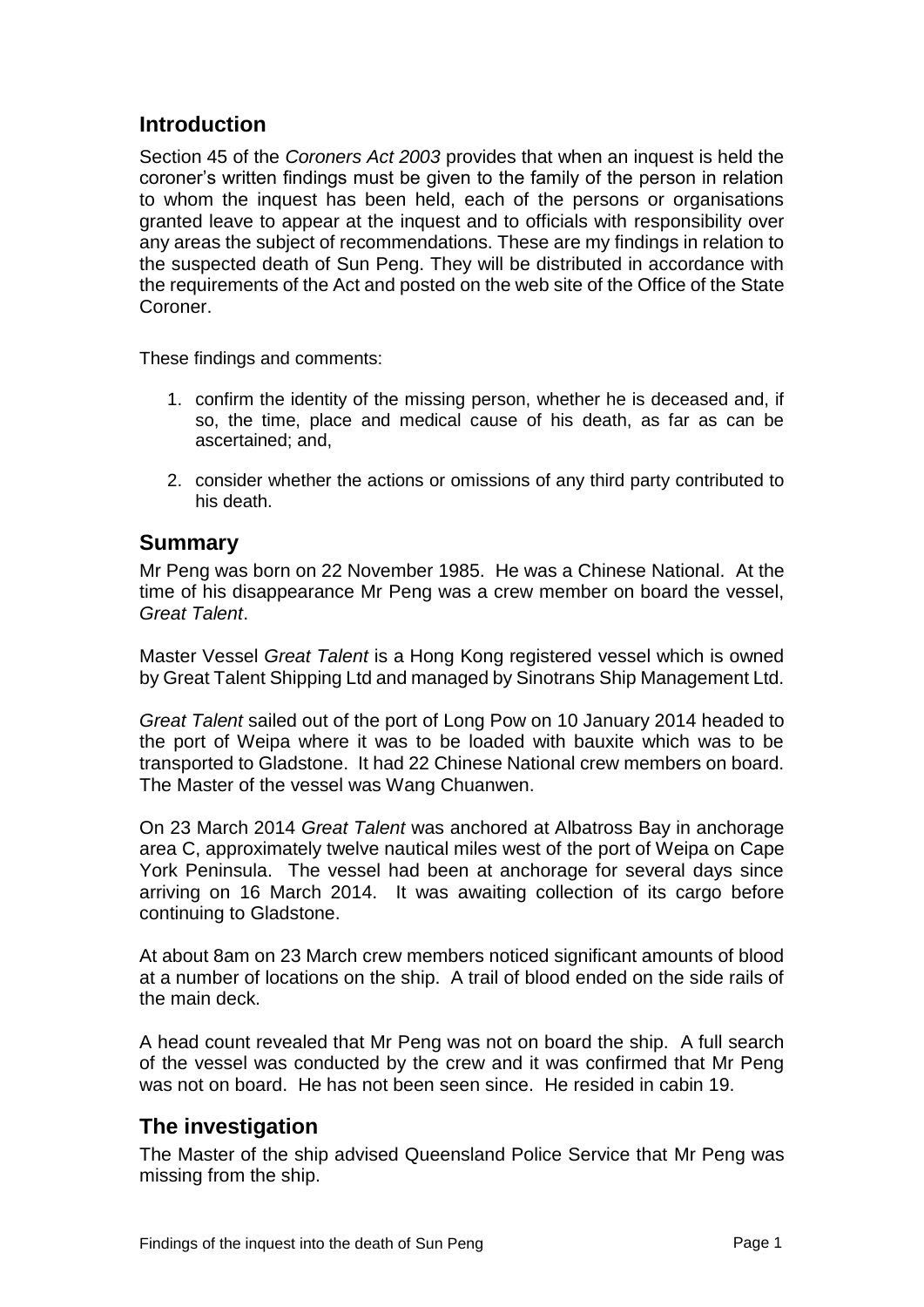# **Introduction**

Section 45 of the *Coroners Act 2003* provides that when an inquest is held the coroner's written findings must be given to the family of the person in relation to whom the inquest has been held, each of the persons or organisations granted leave to appear at the inquest and to officials with responsibility over any areas the subject of recommendations. These are my findings in relation to the suspected death of Sun Peng. They will be distributed in accordance with the requirements of the Act and posted on the web site of the Office of the State Coroner.

These findings and comments:

- 1. confirm the identity of the missing person, whether he is deceased and, if so, the time, place and medical cause of his death, as far as can be ascertained; and,
- 2. consider whether the actions or omissions of any third party contributed to his death.

## **Summary**

Mr Peng was born on 22 November 1985. He was a Chinese National. At the time of his disappearance Mr Peng was a crew member on board the vessel, *Great Talent*.

Master Vessel *Great Talent* is a Hong Kong registered vessel which is owned by Great Talent Shipping Ltd and managed by Sinotrans Ship Management Ltd.

*Great Talent* sailed out of the port of Long Pow on 10 January 2014 headed to the port of Weipa where it was to be loaded with bauxite which was to be transported to Gladstone. It had 22 Chinese National crew members on board. The Master of the vessel was Wang Chuanwen.

On 23 March 2014 *Great Talent* was anchored at Albatross Bay in anchorage area C, approximately twelve nautical miles west of the port of Weipa on Cape York Peninsula. The vessel had been at anchorage for several days since arriving on 16 March 2014. It was awaiting collection of its cargo before continuing to Gladstone.

At about 8am on 23 March crew members noticed significant amounts of blood at a number of locations on the ship. A trail of blood ended on the side rails of the main deck.

A head count revealed that Mr Peng was not on board the ship. A full search of the vessel was conducted by the crew and it was confirmed that Mr Peng was not on board. He has not been seen since. He resided in cabin 19.

## **The investigation**

The Master of the ship advised Queensland Police Service that Mr Peng was missing from the ship.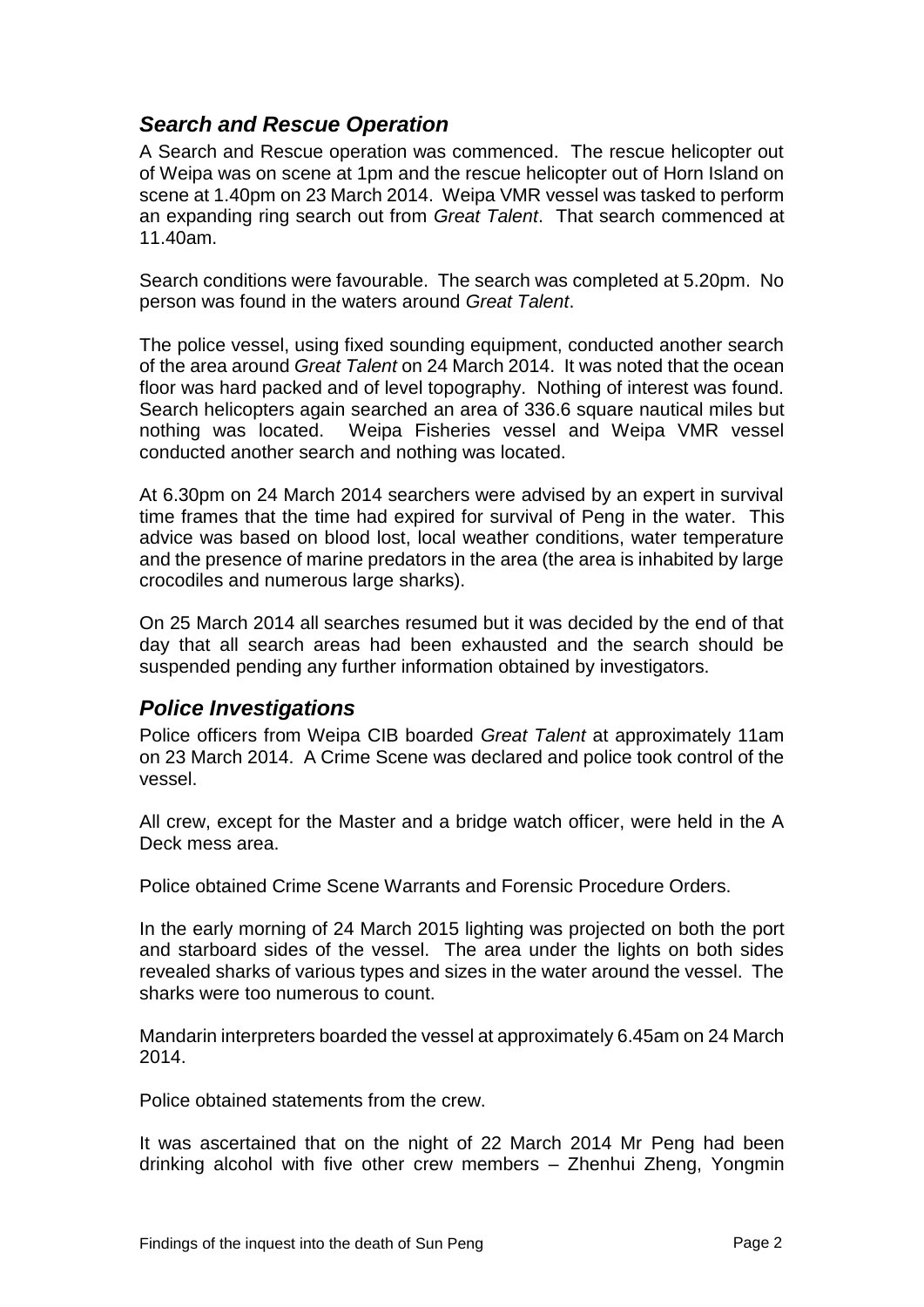# *Search and Rescue Operation*

A Search and Rescue operation was commenced. The rescue helicopter out of Weipa was on scene at 1pm and the rescue helicopter out of Horn Island on scene at 1.40pm on 23 March 2014. Weipa VMR vessel was tasked to perform an expanding ring search out from *Great Talent*. That search commenced at 11.40am.

Search conditions were favourable. The search was completed at 5.20pm. No person was found in the waters around *Great Talent*.

The police vessel, using fixed sounding equipment, conducted another search of the area around *Great Talent* on 24 March 2014. It was noted that the ocean floor was hard packed and of level topography. Nothing of interest was found. Search helicopters again searched an area of 336.6 square nautical miles but nothing was located. Weipa Fisheries vessel and Weipa VMR vessel conducted another search and nothing was located.

At 6.30pm on 24 March 2014 searchers were advised by an expert in survival time frames that the time had expired for survival of Peng in the water. This advice was based on blood lost, local weather conditions, water temperature and the presence of marine predators in the area (the area is inhabited by large crocodiles and numerous large sharks).

On 25 March 2014 all searches resumed but it was decided by the end of that day that all search areas had been exhausted and the search should be suspended pending any further information obtained by investigators.

## *Police Investigations*

Police officers from Weipa CIB boarded *Great Talent* at approximately 11am on 23 March 2014. A Crime Scene was declared and police took control of the vessel.

All crew, except for the Master and a bridge watch officer, were held in the A Deck mess area.

Police obtained Crime Scene Warrants and Forensic Procedure Orders.

In the early morning of 24 March 2015 lighting was projected on both the port and starboard sides of the vessel. The area under the lights on both sides revealed sharks of various types and sizes in the water around the vessel. The sharks were too numerous to count.

Mandarin interpreters boarded the vessel at approximately 6.45am on 24 March 2014.

Police obtained statements from the crew.

It was ascertained that on the night of 22 March 2014 Mr Peng had been drinking alcohol with five other crew members – Zhenhui Zheng, Yongmin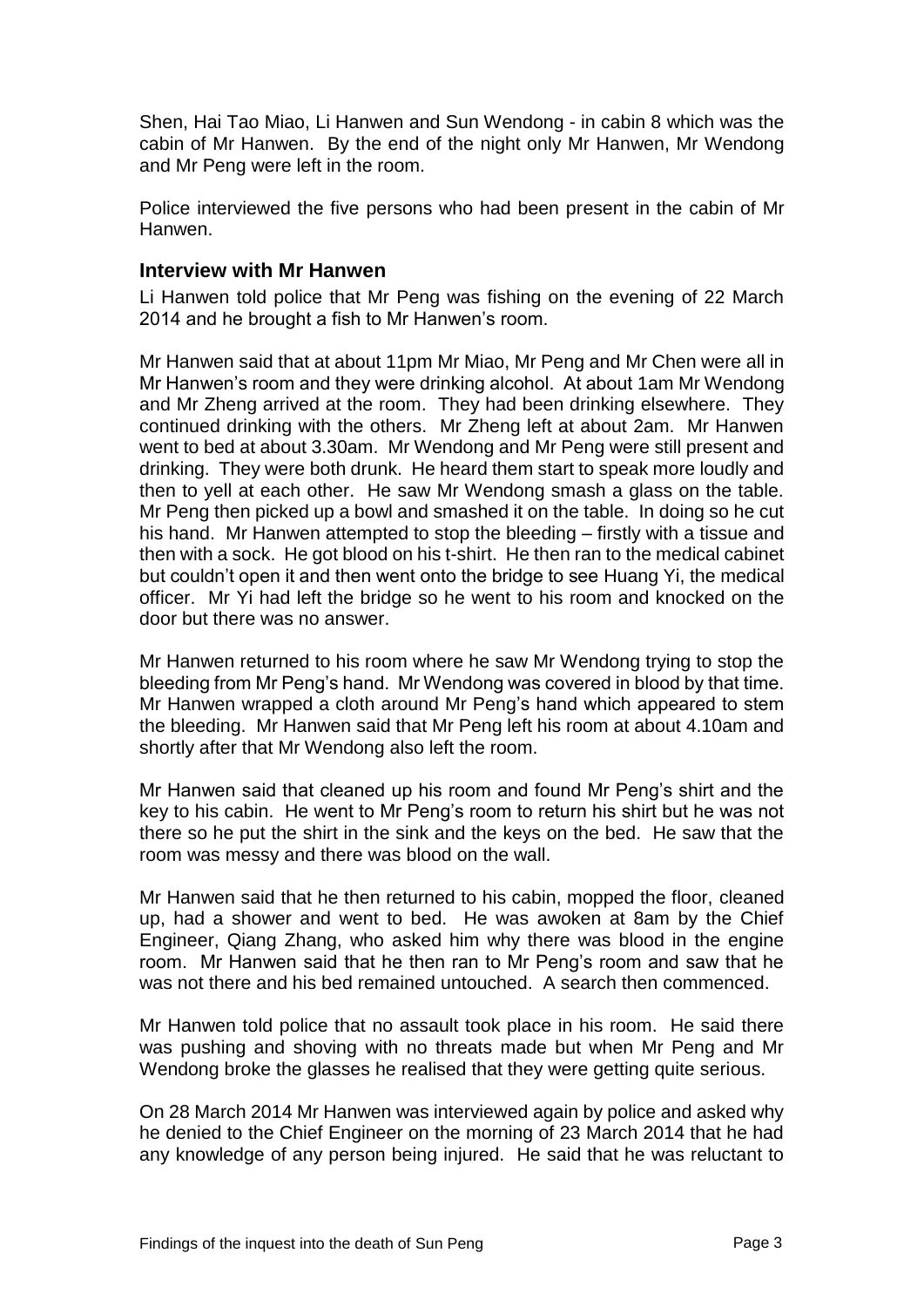Shen, Hai Tao Miao, Li Hanwen and Sun Wendong - in cabin 8 which was the cabin of Mr Hanwen. By the end of the night only Mr Hanwen, Mr Wendong and Mr Peng were left in the room.

Police interviewed the five persons who had been present in the cabin of Mr Hanwen.

#### **Interview with Mr Hanwen**

Li Hanwen told police that Mr Peng was fishing on the evening of 22 March 2014 and he brought a fish to Mr Hanwen's room.

Mr Hanwen said that at about 11pm Mr Miao, Mr Peng and Mr Chen were all in Mr Hanwen's room and they were drinking alcohol. At about 1am Mr Wendong and Mr Zheng arrived at the room. They had been drinking elsewhere. They continued drinking with the others. Mr Zheng left at about 2am. Mr Hanwen went to bed at about 3.30am. Mr Wendong and Mr Peng were still present and drinking. They were both drunk. He heard them start to speak more loudly and then to yell at each other. He saw Mr Wendong smash a glass on the table. Mr Peng then picked up a bowl and smashed it on the table. In doing so he cut his hand. Mr Hanwen attempted to stop the bleeding – firstly with a tissue and then with a sock. He got blood on his t-shirt. He then ran to the medical cabinet but couldn't open it and then went onto the bridge to see Huang Yi, the medical officer. Mr Yi had left the bridge so he went to his room and knocked on the door but there was no answer.

Mr Hanwen returned to his room where he saw Mr Wendong trying to stop the bleeding from Mr Peng's hand. Mr Wendong was covered in blood by that time. Mr Hanwen wrapped a cloth around Mr Peng's hand which appeared to stem the bleeding. Mr Hanwen said that Mr Peng left his room at about 4.10am and shortly after that Mr Wendong also left the room.

Mr Hanwen said that cleaned up his room and found Mr Peng's shirt and the key to his cabin. He went to Mr Peng's room to return his shirt but he was not there so he put the shirt in the sink and the keys on the bed. He saw that the room was messy and there was blood on the wall.

Mr Hanwen said that he then returned to his cabin, mopped the floor, cleaned up, had a shower and went to bed. He was awoken at 8am by the Chief Engineer, Qiang Zhang, who asked him why there was blood in the engine room. Mr Hanwen said that he then ran to Mr Peng's room and saw that he was not there and his bed remained untouched. A search then commenced.

Mr Hanwen told police that no assault took place in his room. He said there was pushing and shoving with no threats made but when Mr Peng and Mr Wendong broke the glasses he realised that they were getting quite serious.

On 28 March 2014 Mr Hanwen was interviewed again by police and asked why he denied to the Chief Engineer on the morning of 23 March 2014 that he had any knowledge of any person being injured. He said that he was reluctant to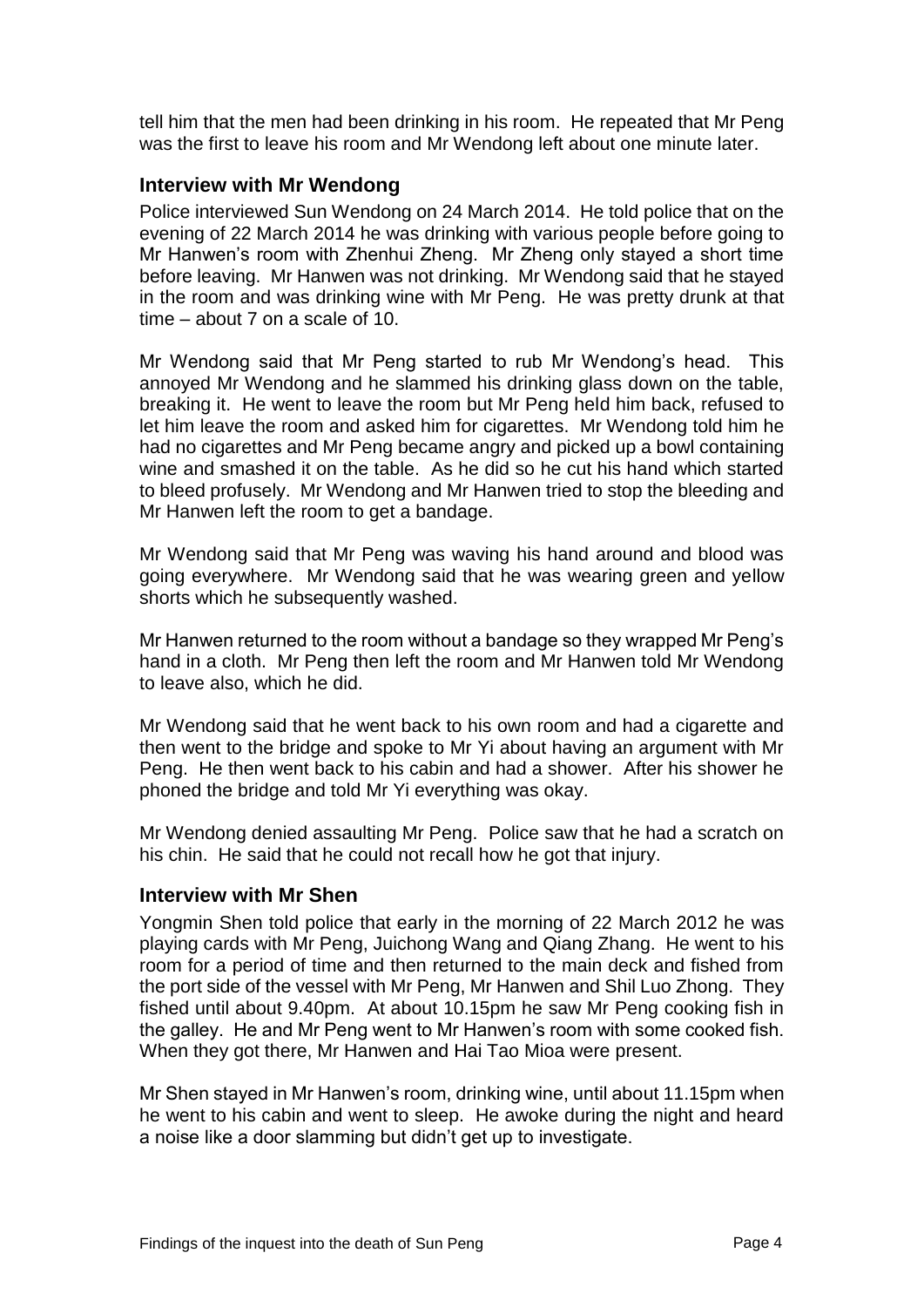tell him that the men had been drinking in his room. He repeated that Mr Peng was the first to leave his room and Mr Wendong left about one minute later.

### **Interview with Mr Wendong**

Police interviewed Sun Wendong on 24 March 2014. He told police that on the evening of 22 March 2014 he was drinking with various people before going to Mr Hanwen's room with Zhenhui Zheng. Mr Zheng only stayed a short time before leaving. Mr Hanwen was not drinking. Mr Wendong said that he stayed in the room and was drinking wine with Mr Peng. He was pretty drunk at that time – about 7 on a scale of 10.

Mr Wendong said that Mr Peng started to rub Mr Wendong's head. This annoyed Mr Wendong and he slammed his drinking glass down on the table, breaking it. He went to leave the room but Mr Peng held him back, refused to let him leave the room and asked him for cigarettes. Mr Wendong told him he had no cigarettes and Mr Peng became angry and picked up a bowl containing wine and smashed it on the table. As he did so he cut his hand which started to bleed profusely. Mr Wendong and Mr Hanwen tried to stop the bleeding and Mr Hanwen left the room to get a bandage.

Mr Wendong said that Mr Peng was waving his hand around and blood was going everywhere. Mr Wendong said that he was wearing green and yellow shorts which he subsequently washed.

Mr Hanwen returned to the room without a bandage so they wrapped Mr Peng's hand in a cloth. Mr Peng then left the room and Mr Hanwen told Mr Wendong to leave also, which he did.

Mr Wendong said that he went back to his own room and had a cigarette and then went to the bridge and spoke to Mr Yi about having an argument with Mr Peng. He then went back to his cabin and had a shower. After his shower he phoned the bridge and told Mr Yi everything was okay.

Mr Wendong denied assaulting Mr Peng. Police saw that he had a scratch on his chin. He said that he could not recall how he got that injury.

#### **Interview with Mr Shen**

Yongmin Shen told police that early in the morning of 22 March 2012 he was playing cards with Mr Peng, Juichong Wang and Qiang Zhang. He went to his room for a period of time and then returned to the main deck and fished from the port side of the vessel with Mr Peng, Mr Hanwen and Shil Luo Zhong. They fished until about 9.40pm. At about 10.15pm he saw Mr Peng cooking fish in the galley. He and Mr Peng went to Mr Hanwen's room with some cooked fish. When they got there, Mr Hanwen and Hai Tao Mioa were present.

Mr Shen stayed in Mr Hanwen's room, drinking wine, until about 11.15pm when he went to his cabin and went to sleep. He awoke during the night and heard a noise like a door slamming but didn't get up to investigate.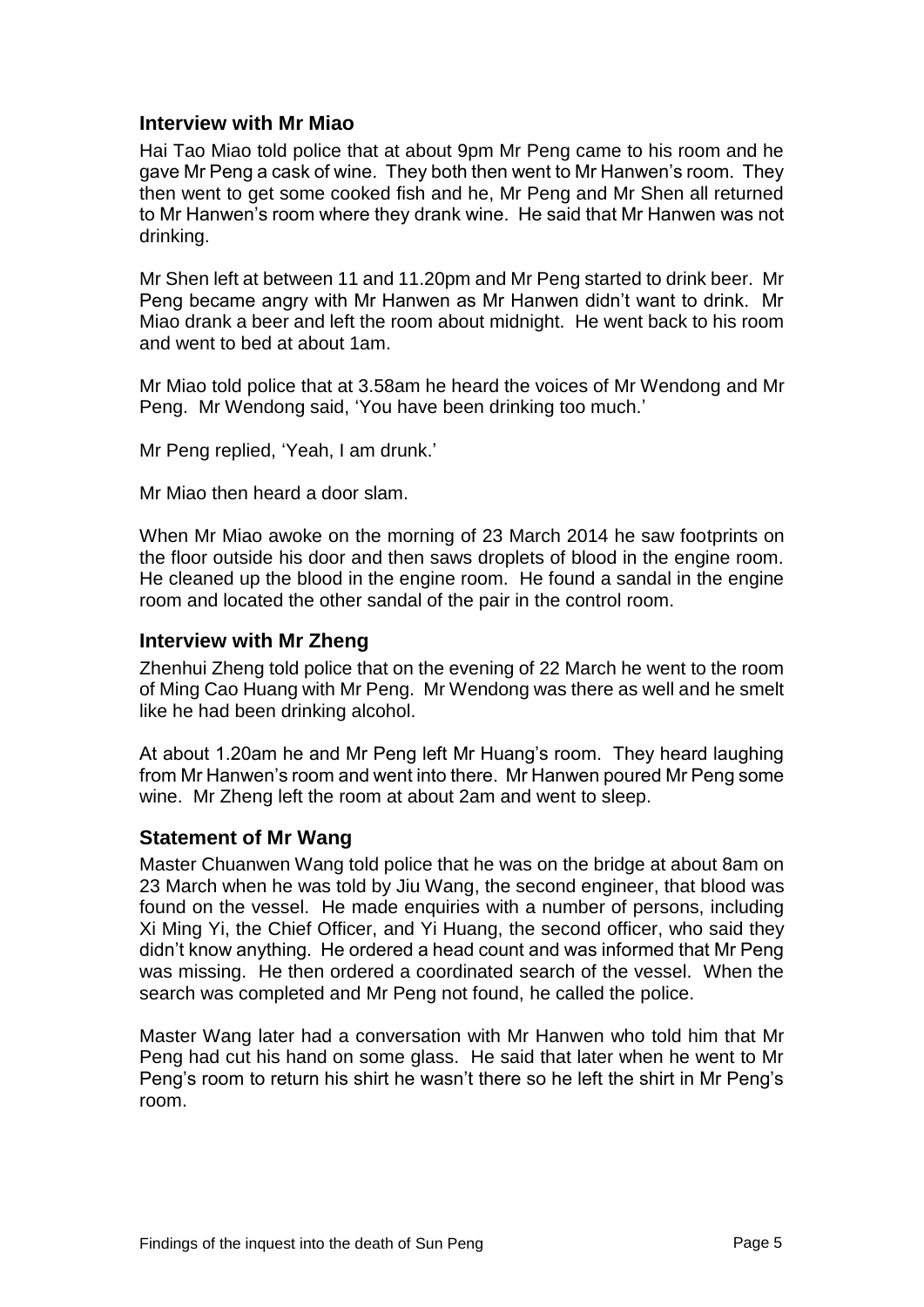### **Interview with Mr Miao**

Hai Tao Miao told police that at about 9pm Mr Peng came to his room and he gave Mr Peng a cask of wine. They both then went to Mr Hanwen's room. They then went to get some cooked fish and he, Mr Peng and Mr Shen all returned to Mr Hanwen's room where they drank wine. He said that Mr Hanwen was not drinking.

Mr Shen left at between 11 and 11.20pm and Mr Peng started to drink beer. Mr Peng became angry with Mr Hanwen as Mr Hanwen didn't want to drink. Mr Miao drank a beer and left the room about midnight. He went back to his room and went to bed at about 1am.

Mr Miao told police that at 3.58am he heard the voices of Mr Wendong and Mr Peng. Mr Wendong said, 'You have been drinking too much.'

Mr Peng replied, 'Yeah, I am drunk.'

Mr Miao then heard a door slam.

When Mr Miao awoke on the morning of 23 March 2014 he saw footprints on the floor outside his door and then saws droplets of blood in the engine room. He cleaned up the blood in the engine room. He found a sandal in the engine room and located the other sandal of the pair in the control room.

#### **Interview with Mr Zheng**

Zhenhui Zheng told police that on the evening of 22 March he went to the room of Ming Cao Huang with Mr Peng. Mr Wendong was there as well and he smelt like he had been drinking alcohol.

At about 1.20am he and Mr Peng left Mr Huang's room. They heard laughing from Mr Hanwen's room and went into there. Mr Hanwen poured Mr Peng some wine. Mr Zheng left the room at about 2am and went to sleep.

#### **Statement of Mr Wang**

Master Chuanwen Wang told police that he was on the bridge at about 8am on 23 March when he was told by Jiu Wang, the second engineer, that blood was found on the vessel. He made enquiries with a number of persons, including Xi Ming Yi, the Chief Officer, and Yi Huang, the second officer, who said they didn't know anything. He ordered a head count and was informed that Mr Peng was missing. He then ordered a coordinated search of the vessel. When the search was completed and Mr Peng not found, he called the police.

Master Wang later had a conversation with Mr Hanwen who told him that Mr Peng had cut his hand on some glass. He said that later when he went to Mr Peng's room to return his shirt he wasn't there so he left the shirt in Mr Peng's room.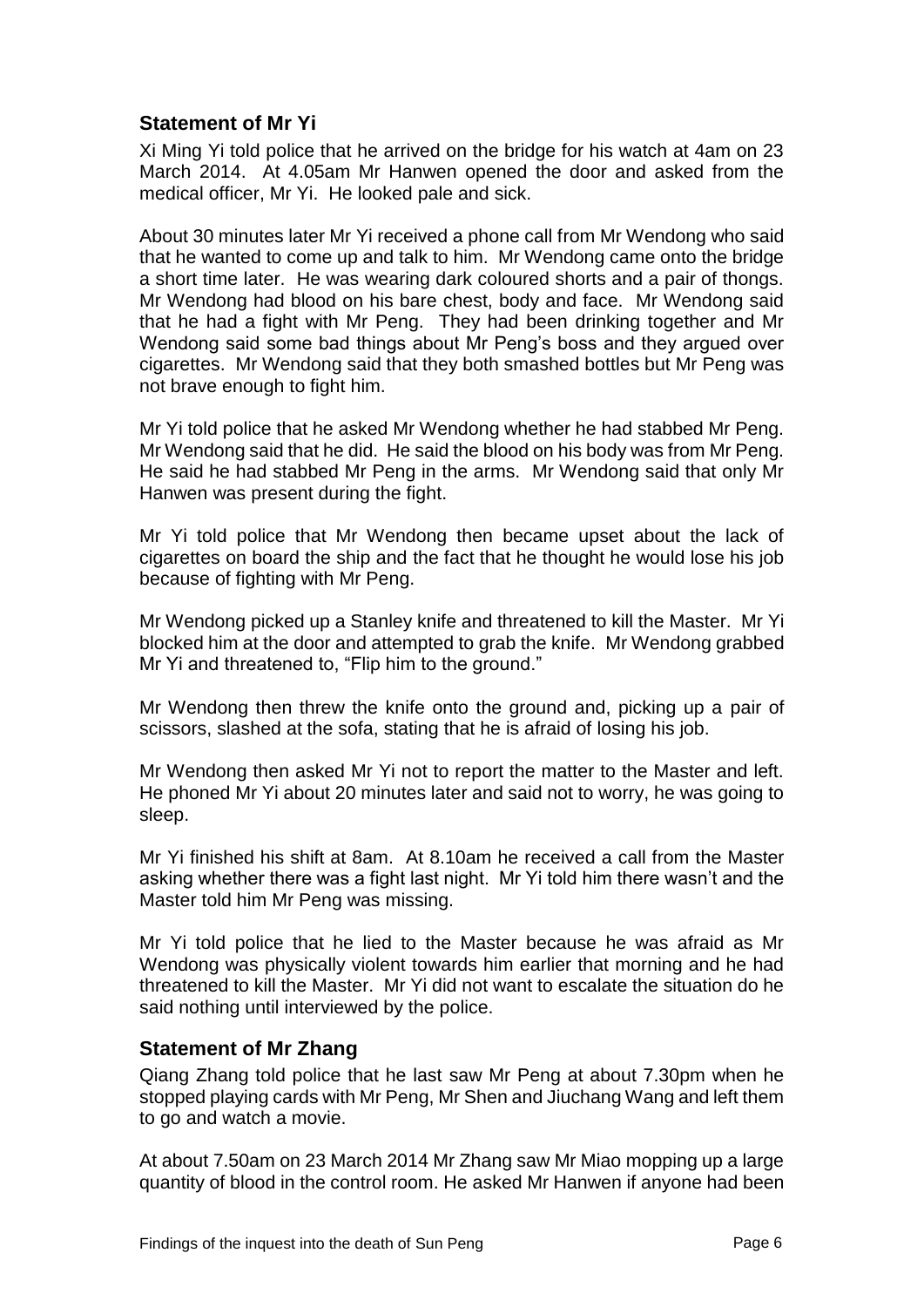## **Statement of Mr Yi**

Xi Ming Yi told police that he arrived on the bridge for his watch at 4am on 23 March 2014. At 4.05am Mr Hanwen opened the door and asked from the medical officer, Mr Yi. He looked pale and sick.

About 30 minutes later Mr Yi received a phone call from Mr Wendong who said that he wanted to come up and talk to him. Mr Wendong came onto the bridge a short time later. He was wearing dark coloured shorts and a pair of thongs. Mr Wendong had blood on his bare chest, body and face. Mr Wendong said that he had a fight with Mr Peng. They had been drinking together and Mr Wendong said some bad things about Mr Peng's boss and they argued over cigarettes. Mr Wendong said that they both smashed bottles but Mr Peng was not brave enough to fight him.

Mr Yi told police that he asked Mr Wendong whether he had stabbed Mr Peng. Mr Wendong said that he did. He said the blood on his body was from Mr Peng. He said he had stabbed Mr Peng in the arms. Mr Wendong said that only Mr Hanwen was present during the fight.

Mr Yi told police that Mr Wendong then became upset about the lack of cigarettes on board the ship and the fact that he thought he would lose his job because of fighting with Mr Peng.

Mr Wendong picked up a Stanley knife and threatened to kill the Master. Mr Yi blocked him at the door and attempted to grab the knife. Mr Wendong grabbed Mr Yi and threatened to, "Flip him to the ground."

Mr Wendong then threw the knife onto the ground and, picking up a pair of scissors, slashed at the sofa, stating that he is afraid of losing his job.

Mr Wendong then asked Mr Yi not to report the matter to the Master and left. He phoned Mr Yi about 20 minutes later and said not to worry, he was going to sleep.

Mr Yi finished his shift at 8am. At 8.10am he received a call from the Master asking whether there was a fight last night. Mr Yi told him there wasn't and the Master told him Mr Peng was missing.

Mr Yi told police that he lied to the Master because he was afraid as Mr Wendong was physically violent towards him earlier that morning and he had threatened to kill the Master. Mr Yi did not want to escalate the situation do he said nothing until interviewed by the police.

#### **Statement of Mr Zhang**

Qiang Zhang told police that he last saw Mr Peng at about 7.30pm when he stopped playing cards with Mr Peng, Mr Shen and Jiuchang Wang and left them to go and watch a movie.

At about 7.50am on 23 March 2014 Mr Zhang saw Mr Miao mopping up a large quantity of blood in the control room. He asked Mr Hanwen if anyone had been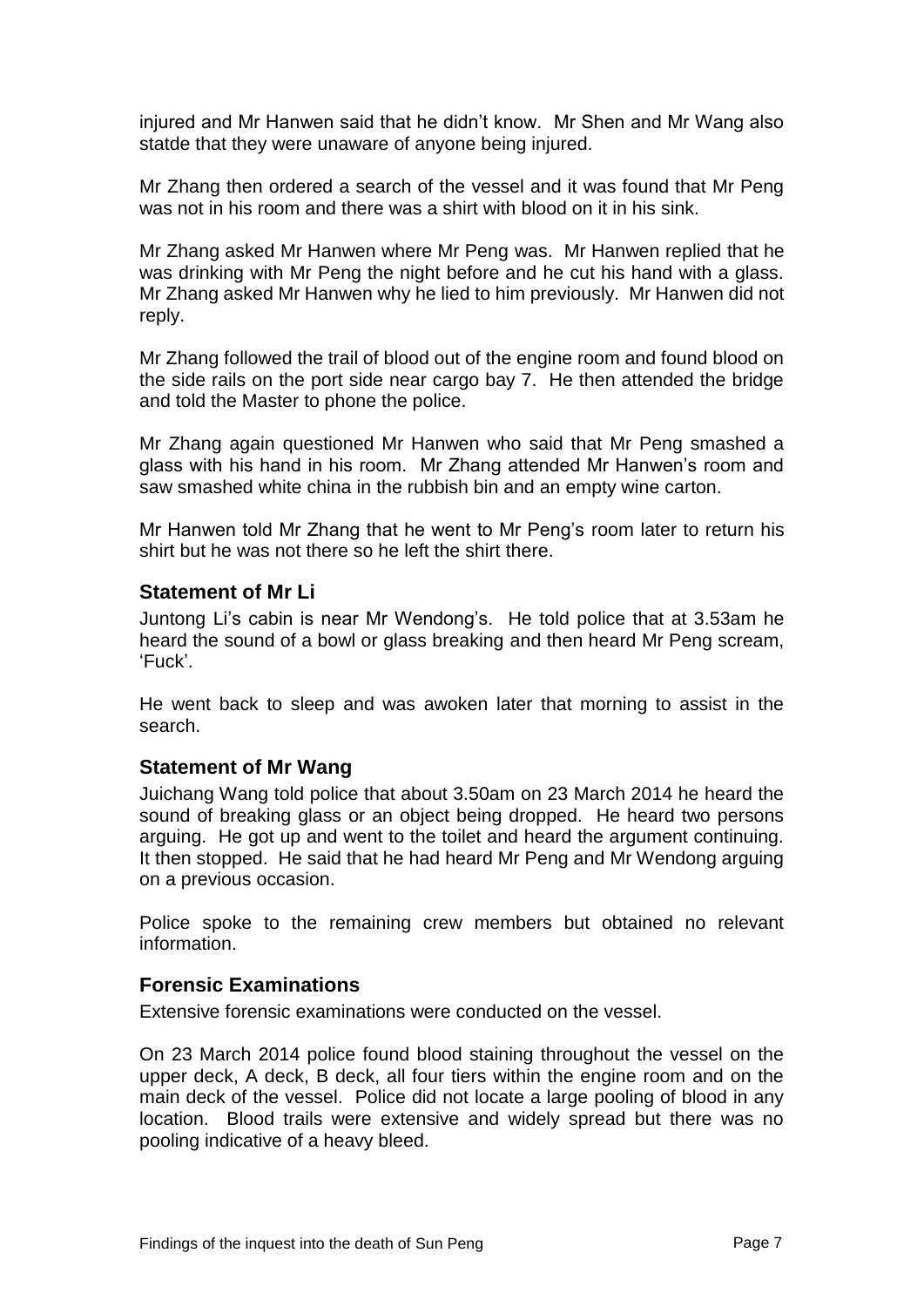injured and Mr Hanwen said that he didn't know. Mr Shen and Mr Wang also statde that they were unaware of anyone being injured.

Mr Zhang then ordered a search of the vessel and it was found that Mr Peng was not in his room and there was a shirt with blood on it in his sink.

Mr Zhang asked Mr Hanwen where Mr Peng was. Mr Hanwen replied that he was drinking with Mr Peng the night before and he cut his hand with a glass. Mr Zhang asked Mr Hanwen why he lied to him previously. Mr Hanwen did not reply.

Mr Zhang followed the trail of blood out of the engine room and found blood on the side rails on the port side near cargo bay 7. He then attended the bridge and told the Master to phone the police.

Mr Zhang again questioned Mr Hanwen who said that Mr Peng smashed a glass with his hand in his room. Mr Zhang attended Mr Hanwen's room and saw smashed white china in the rubbish bin and an empty wine carton.

Mr Hanwen told Mr Zhang that he went to Mr Peng's room later to return his shirt but he was not there so he left the shirt there.

#### **Statement of Mr Li**

Juntong Li's cabin is near Mr Wendong's. He told police that at 3.53am he heard the sound of a bowl or glass breaking and then heard Mr Peng scream, 'Fuck'.

He went back to sleep and was awoken later that morning to assist in the search.

#### **Statement of Mr Wang**

Juichang Wang told police that about 3.50am on 23 March 2014 he heard the sound of breaking glass or an object being dropped. He heard two persons arguing. He got up and went to the toilet and heard the argument continuing. It then stopped. He said that he had heard Mr Peng and Mr Wendong arguing on a previous occasion.

Police spoke to the remaining crew members but obtained no relevant information.

#### **Forensic Examinations**

Extensive forensic examinations were conducted on the vessel.

On 23 March 2014 police found blood staining throughout the vessel on the upper deck, A deck, B deck, all four tiers within the engine room and on the main deck of the vessel. Police did not locate a large pooling of blood in any location. Blood trails were extensive and widely spread but there was no pooling indicative of a heavy bleed.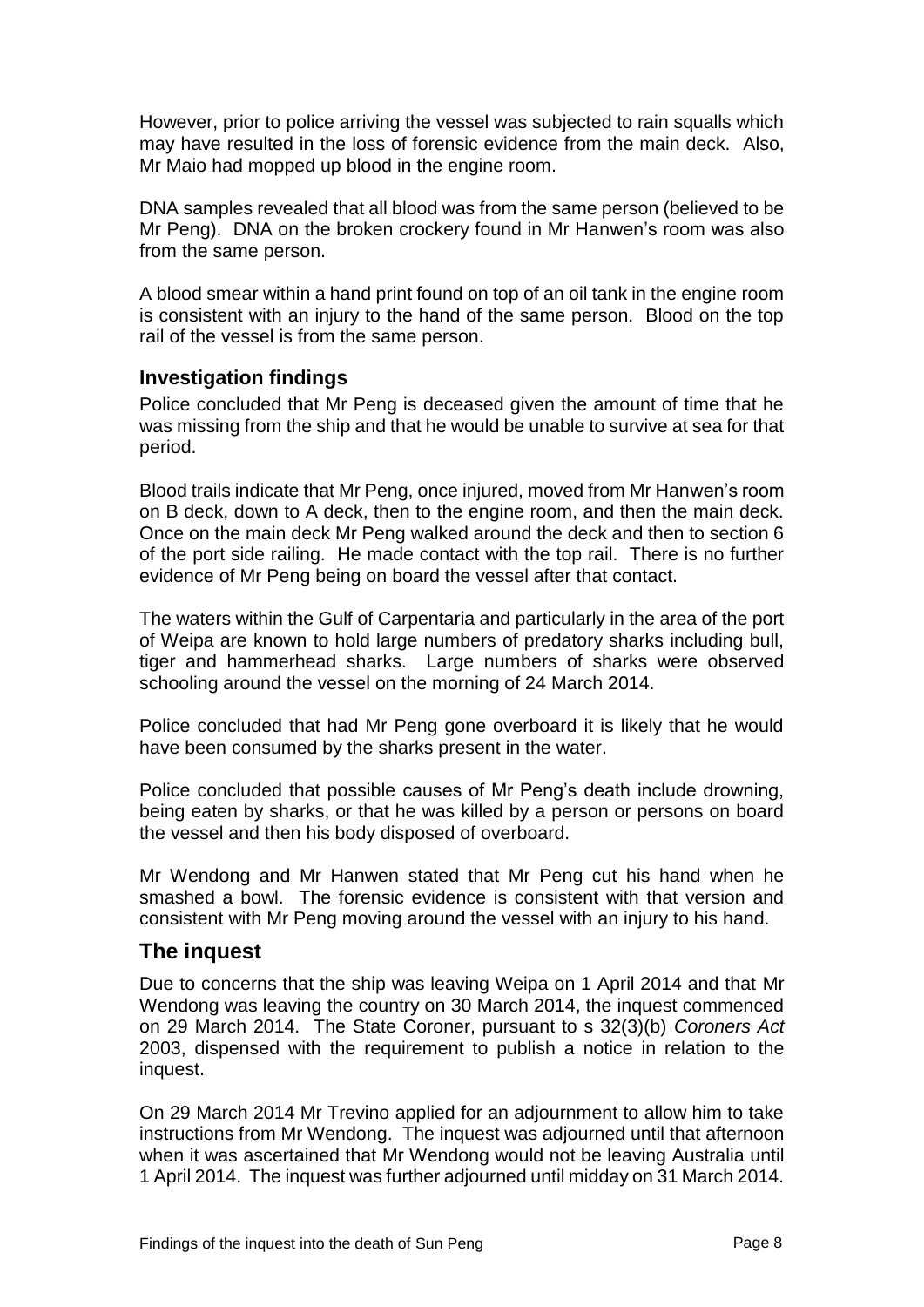However, prior to police arriving the vessel was subjected to rain squalls which may have resulted in the loss of forensic evidence from the main deck. Also, Mr Maio had mopped up blood in the engine room.

DNA samples revealed that all blood was from the same person (believed to be Mr Peng). DNA on the broken crockery found in Mr Hanwen's room was also from the same person.

A blood smear within a hand print found on top of an oil tank in the engine room is consistent with an injury to the hand of the same person. Blood on the top rail of the vessel is from the same person.

### **Investigation findings**

Police concluded that Mr Peng is deceased given the amount of time that he was missing from the ship and that he would be unable to survive at sea for that period.

Blood trails indicate that Mr Peng, once injured, moved from Mr Hanwen's room on B deck, down to A deck, then to the engine room, and then the main deck. Once on the main deck Mr Peng walked around the deck and then to section 6 of the port side railing. He made contact with the top rail. There is no further evidence of Mr Peng being on board the vessel after that contact.

The waters within the Gulf of Carpentaria and particularly in the area of the port of Weipa are known to hold large numbers of predatory sharks including bull, tiger and hammerhead sharks. Large numbers of sharks were observed schooling around the vessel on the morning of 24 March 2014.

Police concluded that had Mr Peng gone overboard it is likely that he would have been consumed by the sharks present in the water.

Police concluded that possible causes of Mr Peng's death include drowning, being eaten by sharks, or that he was killed by a person or persons on board the vessel and then his body disposed of overboard.

Mr Wendong and Mr Hanwen stated that Mr Peng cut his hand when he smashed a bowl. The forensic evidence is consistent with that version and consistent with Mr Peng moving around the vessel with an injury to his hand.

## **The inquest**

Due to concerns that the ship was leaving Weipa on 1 April 2014 and that Mr Wendong was leaving the country on 30 March 2014, the inquest commenced on 29 March 2014. The State Coroner, pursuant to s 32(3)(b) *Coroners Act*  2003, dispensed with the requirement to publish a notice in relation to the inquest.

On 29 March 2014 Mr Trevino applied for an adjournment to allow him to take instructions from Mr Wendong. The inquest was adjourned until that afternoon when it was ascertained that Mr Wendong would not be leaving Australia until 1 April 2014. The inquest was further adjourned until midday on 31 March 2014.